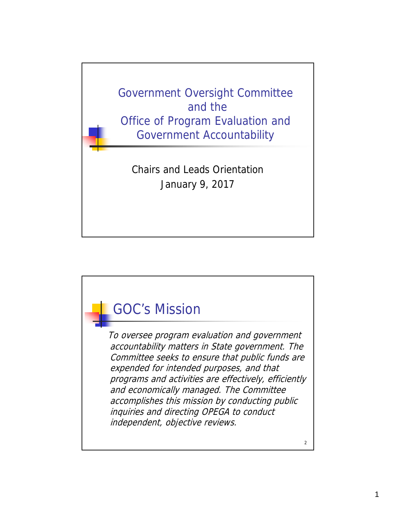

## GOC's Mission

To oversee program evaluation and government accountability matters in State government. The Committee seeks to ensure that public funds are expended for intended purposes, and that programs and activities are effectively, efficiently and economically managed. The Committee accomplishes this mission by conducting public inquiries and directing OPEGA to conduct independent, objective reviews.

2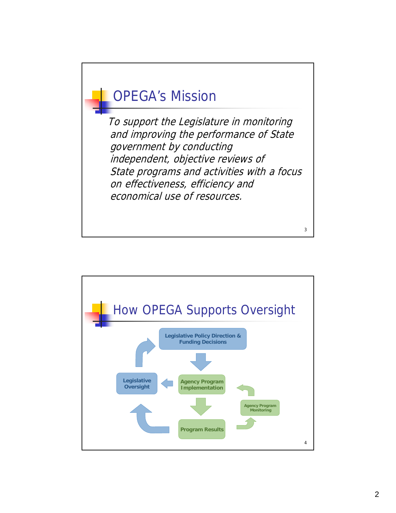## OPEGA's Mission

To support the Legislature in monitoring and improving the performance of State government by conducting independent, objective reviews of State programs and activities with a focus on effectiveness, efficiency and economical use of resources.

3

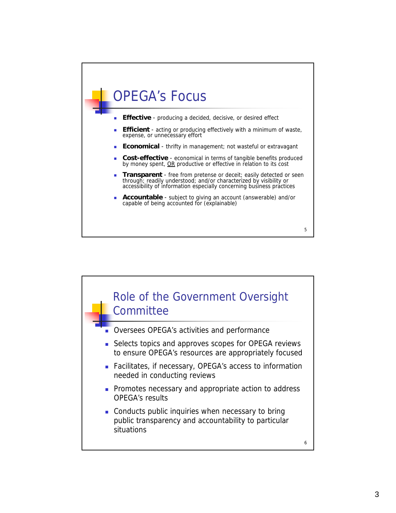## OPEGA's Focus

- **Effective** producing a decided, decisive, or desired effect
- **Efficient** acting or producing effectively with a minimum of waste, expense, or unnecessary effort
- **Economical** thrifty in management; not wasteful or extravagant
- **Cost-effective** economical in terms of tangible benefits produced by money spent, OR productive or effective in relation to its cost
- **Transparent** free from pretense or deceit; easily detected or seen through; readily understood; and/or characterized by visibility or accessibility of information especially concerning business practices

5

 **Accountable** - subject to giving an account (answerable) and/or capable of being accounted for (explainable)

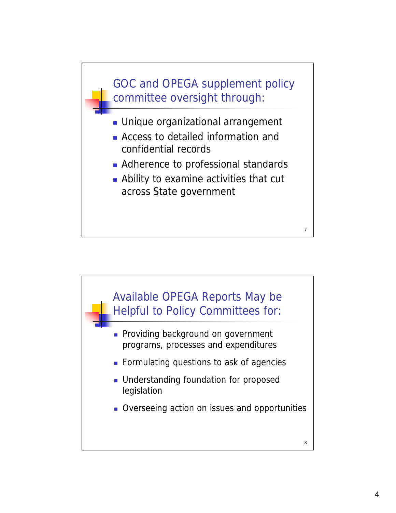

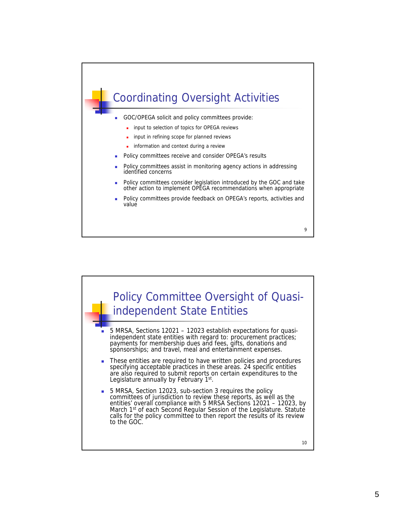

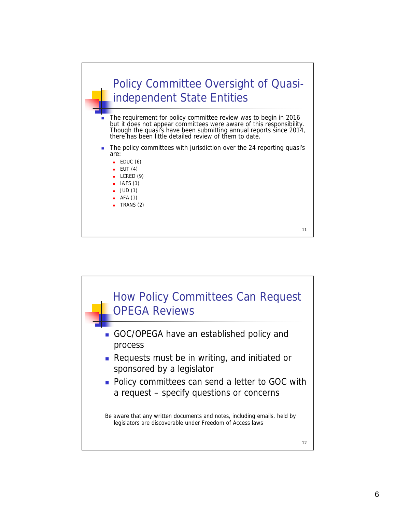